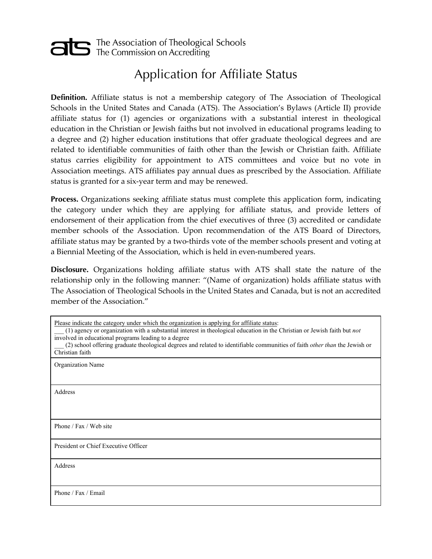## The Association of Theological Schools<br>The Commission on Accrediting

## Application for Affiliate Status

**Definition.** Affiliate status is not a membership category of The Association of Theological Schools in the United States and Canada (ATS). The Association's Bylaws (Article II) provide affiliate status for (1) agencies or organizations with a substantial interest in theological education in the Christian or Jewish faiths but not involved in educational programs leading to a degree and (2) higher education institutions that offer graduate theological degrees and are related to identifiable communities of faith other than the Jewish or Christian faith. Affiliate status carries eligibility for appointment to ATS committees and voice but no vote in Association meetings. ATS affiliates pay annual dues as prescribed by the Association. Affiliate status is granted for a six-year term and may be renewed.

**Process.** Organizations seeking affiliate status must complete this application form, indicating the category under which they are applying for affiliate status, and provide letters of endorsement of their application from the chief executives of three (3) accredited or candidate member schools of the Association. Upon recommendation of the ATS Board of Directors, affiliate status may be granted by a two-thirds vote of the member schools present and voting at a Biennial Meeting of the Association, which is held in even-numbered years.

**Disclosure.** Organizations holding affiliate status with ATS shall state the nature of the relationship only in the following manner: "(Name of organization) holds affiliate status with The Association of Theological Schools in the United States and Canada, but is not an accredited member of the Association."

Please indicate the category under which the organization is applying for affiliate status:

| (1) agency or organization with a substantial interest in theological education in the Christian or Jewish faith but not          |
|-----------------------------------------------------------------------------------------------------------------------------------|
| involved in educational programs leading to a degree                                                                              |
| (2) school offering graduate theological degrees and related to identifiable communities of faith <i>other than</i> the Jewish or |
| Christian faith                                                                                                                   |
| <b>Organization Name</b>                                                                                                          |
|                                                                                                                                   |

Address

Phone / Fax / Web site

President or Chief Executive Officer

Address

Phone / Fax / Email